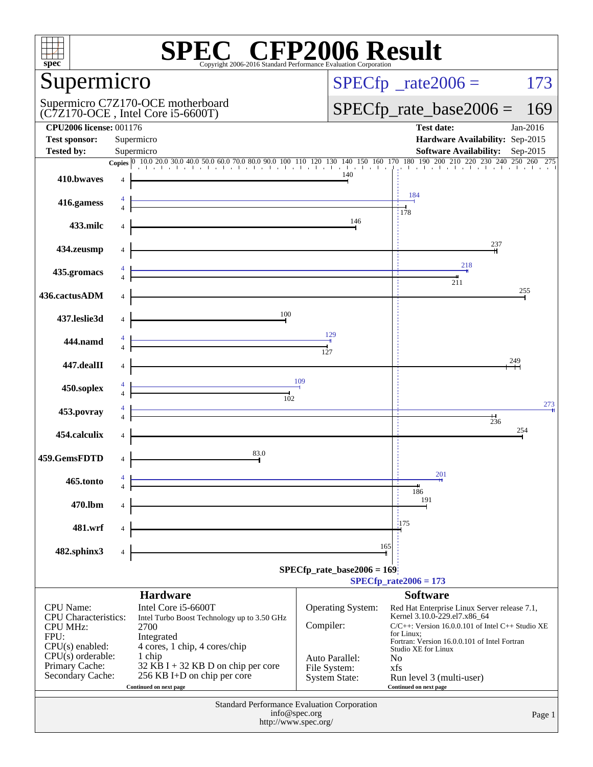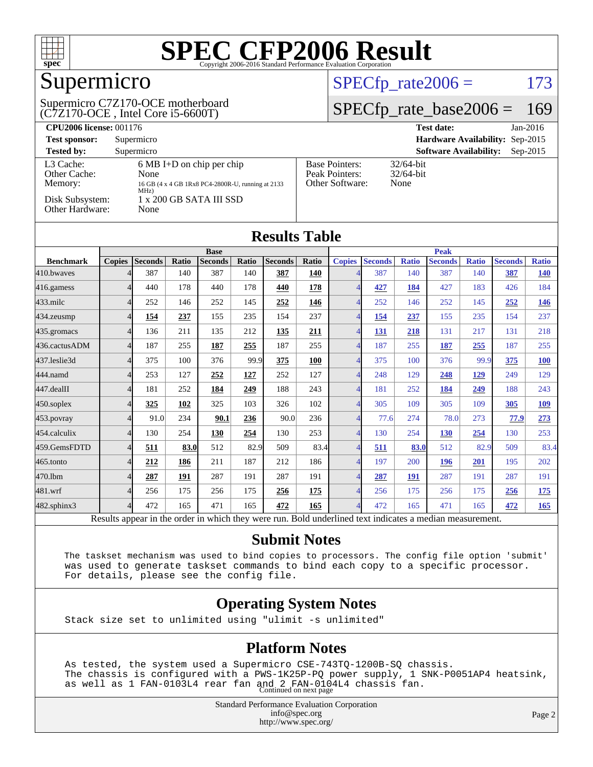

## Supermicro

(C7Z170-OCE , Intel Core i5-6600T) Supermicro C7Z170-OCE motherboard

#### $SPECTp_rate2006 = 173$

#### [SPECfp\\_rate\\_base2006 =](http://www.spec.org/auto/cpu2006/Docs/result-fields.html#SPECfpratebase2006) 169

| <b>CPU2006 license: 001176</b>       |                                                                                                          | <b>Test date:</b><br>$Jan-2016$                            |                                      |
|--------------------------------------|----------------------------------------------------------------------------------------------------------|------------------------------------------------------------|--------------------------------------|
| <b>Test sponsor:</b>                 | Supermicro                                                                                               | Hardware Availability: Sep-2015                            |                                      |
| <b>Tested by:</b>                    | Supermicro                                                                                               | <b>Software Availability:</b><br>$Sep-2015$                |                                      |
| L3 Cache:<br>Other Cache:<br>Memory: | $6 \text{ MB I+D}$ on chip per chip<br>None<br>16 GB (4 x 4 GB 1Rx8 PC4-2800R-U, running at 2133<br>MHz) | <b>Base Pointers:</b><br>Peak Pointers:<br>Other Software: | $32/64$ -bit<br>$32/64$ -bit<br>None |
| Disk Subsystem:<br>Other Hardware:   | $1 \times 200$ GB SATA III SSD<br>None                                                                   |                                                            |                                      |

| <b>Results Table</b> |                |                |       |                |              |                |       |                          |                |              |                |              |                |              |
|----------------------|----------------|----------------|-------|----------------|--------------|----------------|-------|--------------------------|----------------|--------------|----------------|--------------|----------------|--------------|
|                      | <b>Base</b>    |                |       |                |              | <b>Peak</b>    |       |                          |                |              |                |              |                |              |
| <b>Benchmark</b>     | <b>Copies</b>  | <b>Seconds</b> | Ratio | <b>Seconds</b> | <b>Ratio</b> | <b>Seconds</b> | Ratio | <b>Copies</b>            | <b>Seconds</b> | <b>Ratio</b> | <b>Seconds</b> | <b>Ratio</b> | <b>Seconds</b> | <b>Ratio</b> |
| 410.bwayes           | $\overline{4}$ | 387            | 140   | 387            | 140          | 387            | 140   | 4                        | 387            | 140          | 387            | 140          | 387            | <b>140</b>   |
| 416.gamess           | $\overline{4}$ | 440            | 178   | 440            | 178          | 440            | 178   | 4                        | 427            | 184          | 427            | 183          | 426            | 184          |
| $433$ .milc          | $\overline{4}$ | 252            | 146   | 252            | 145          | 252            | 146   | 4                        | 252            | 146          | 252            | 145          | 252            | 146          |
| 434.zeusmp           | $\overline{4}$ | 154            | 237   | 155            | 235          | 154            | 237   | $\overline{4}$           | 154            | 237          | 155            | 235          | 154            | 237          |
| 435.gromacs          | $\overline{4}$ | 136            | 211   | 135            | 212          | 135            | 211   | $\overline{4}$           | 131            | 218          | 131            | 217          | 131            | 218          |
| 436.cactusADM        | $\overline{4}$ | 187            | 255   | 187            | 255          | 187            | 255   | $\overline{\mathcal{A}}$ | 187            | 255          | 187            | 255          | 187            | 255          |
| 437.leslie3d         | $\overline{4}$ | 375            | 100   | 376            | 99.9         | 375            | 100   | 4                        | 375            | 100          | 376            | 99.9         | 375            | <b>100</b>   |
| 444.namd             | $\overline{4}$ | 253            | 127   | 252            | 127          | 252            | 127   | Δ                        | 248            | 129          | 248            | 129          | 249            | 129          |
| 447.dealII           | $\overline{4}$ | 181            | 252   | 184            | 249          | 188            | 243   | $\overline{4}$           | 181            | 252          | 184            | 249          | 188            | 243          |
| 450.soplex           | $\overline{4}$ | 325            | 102   | 325            | 103          | 326            | 102   | 4                        | 305            | 109          | 305            | 109          | 305            | <u>109</u>   |
| 453.povray           | $\overline{4}$ | 91.0           | 234   | 90.1           | 236          | 90.0           | 236   | 4                        | 77.6           | 274          | 78.0           | 273          | 77.9           | 273          |
| 454.calculix         | $\overline{4}$ | 130            | 254   | 130            | 254          | 130            | 253   | $\overline{4}$           | 130            | 254          | <b>130</b>     | 254          | 130            | 253          |
| 459.GemsFDTD         | $\overline{4}$ | 511            | 83.0  | 512            | 82.9         | 509            | 83.4  | 4                        | 511            | 83.0         | 512            | 82.9         | 509            | 83.4         |
| 465.tonto            | $\Delta$       | 212            | 186   | 211            | 187          | 212            | 186   | 4                        | 197            | 200          | 196            | 201          | 195            | 202          |
| 470.1bm              | $\overline{4}$ | 287            | 191   | 287            | 191          | 287            | 191   | 4                        | 287            | 191          | 287            | 191          | 287            | 191          |
| 481.wrf              | $\overline{4}$ | 256            | 175   | 256            | 175          | 256            | 175   | $\overline{\mathcal{A}}$ | 256            | 175          | 256            | 175          | 256            | <u>175</u>   |
| 482.sphinx3          | $\overline{4}$ | 472            | 165   | 471            | 165          | 472            | 165   | 4                        | 472            | 165          | 471            | 165          | 472            | 165          |

Results appear in the [order in which they were run.](http://www.spec.org/auto/cpu2006/Docs/result-fields.html#RunOrder) Bold underlined text [indicates a median measurement.](http://www.spec.org/auto/cpu2006/Docs/result-fields.html#Median)

#### **[Submit Notes](http://www.spec.org/auto/cpu2006/Docs/result-fields.html#SubmitNotes)**

 The taskset mechanism was used to bind copies to processors. The config file option 'submit' was used to generate taskset commands to bind each copy to a specific processor. For details, please see the config file.

#### **[Operating System Notes](http://www.spec.org/auto/cpu2006/Docs/result-fields.html#OperatingSystemNotes)**

Stack size set to unlimited using "ulimit -s unlimited"

#### **[Platform Notes](http://www.spec.org/auto/cpu2006/Docs/result-fields.html#PlatformNotes)**

 As tested, the system used a Supermicro CSE-743TQ-1200B-SQ chassis. The chassis is configured with a PWS-1K25P-PQ power supply, 1 SNK-P0051AP4 heatsink, as well as 1 FAN-0103L4 rear fan and 2 FAN-0104L4 chassis fan. Continued on next page

> Standard Performance Evaluation Corporation [info@spec.org](mailto:info@spec.org) <http://www.spec.org/>

Page 2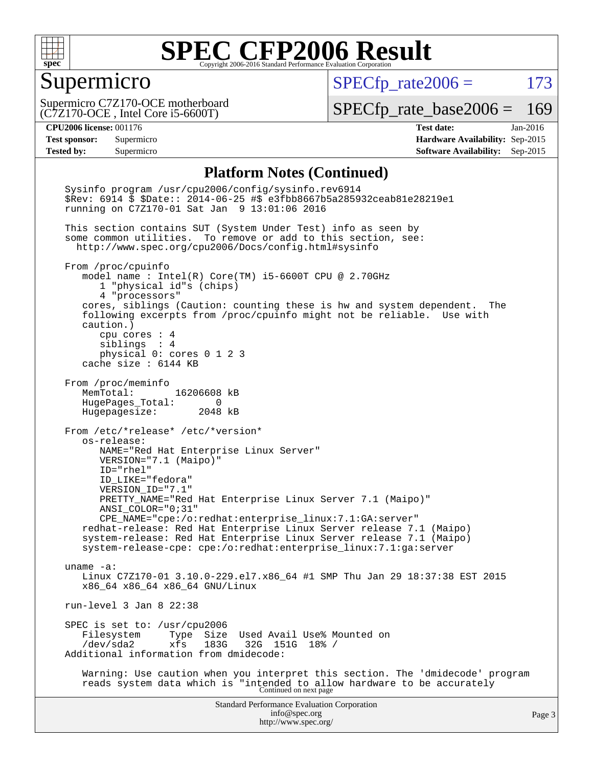

#### Supermicro

 $SPECTp_rate2006 = 173$ 

(C7Z170-OCE , Intel Core i5-6600T) Supermicro C7Z170-OCE motherboard

[SPECfp\\_rate\\_base2006 =](http://www.spec.org/auto/cpu2006/Docs/result-fields.html#SPECfpratebase2006) 169

**[CPU2006 license:](http://www.spec.org/auto/cpu2006/Docs/result-fields.html#CPU2006license)** 001176 **[Test date:](http://www.spec.org/auto/cpu2006/Docs/result-fields.html#Testdate)** Jan-2016 **[Test sponsor:](http://www.spec.org/auto/cpu2006/Docs/result-fields.html#Testsponsor)** Supermicro **[Hardware Availability:](http://www.spec.org/auto/cpu2006/Docs/result-fields.html#HardwareAvailability)** Sep-2015 **[Tested by:](http://www.spec.org/auto/cpu2006/Docs/result-fields.html#Testedby)** Supermicro **Supermicro [Software Availability:](http://www.spec.org/auto/cpu2006/Docs/result-fields.html#SoftwareAvailability)** Sep-2015

#### **[Platform Notes \(Continued\)](http://www.spec.org/auto/cpu2006/Docs/result-fields.html#PlatformNotes)**

Standard Performance Evaluation Corporation [info@spec.org](mailto:info@spec.org) <http://www.spec.org/> Page 3 Sysinfo program /usr/cpu2006/config/sysinfo.rev6914 \$Rev: 6914 \$ \$Date:: 2014-06-25 #\$ e3fbb8667b5a285932ceab81e28219e1 running on C7Z170-01 Sat Jan 9 13:01:06 2016 This section contains SUT (System Under Test) info as seen by some common utilities. To remove or add to this section, see: <http://www.spec.org/cpu2006/Docs/config.html#sysinfo> From /proc/cpuinfo model name : Intel(R) Core(TM) i5-6600T CPU @ 2.70GHz 1 "physical id"s (chips) 4 "processors" cores, siblings (Caution: counting these is hw and system dependent. The following excerpts from /proc/cpuinfo might not be reliable. Use with caution.) cpu cores : 4 siblings : 4 physical 0: cores 0 1 2 3 cache size : 6144 KB From /proc/meminfo MemTotal: 16206608 kB HugePages\_Total: 0 Hugepagesize: 2048 kB From /etc/\*release\* /etc/\*version\* os-release: NAME="Red Hat Enterprise Linux Server" VERSION="7.1 (Maipo)" ID="rhel" ID\_LIKE="fedora" VERSION\_ID="7.1" PRETTY\_NAME="Red Hat Enterprise Linux Server 7.1 (Maipo)" ANSI\_COLOR="0;31" CPE\_NAME="cpe:/o:redhat:enterprise\_linux:7.1:GA:server" redhat-release: Red Hat Enterprise Linux Server release 7.1 (Maipo) system-release: Red Hat Enterprise Linux Server release 7.1 (Maipo) system-release-cpe: cpe:/o:redhat:enterprise\_linux:7.1:ga:server uname -a: Linux C7Z170-01 3.10.0-229.el7.x86\_64 #1 SMP Thu Jan 29 18:37:38 EST 2015 x86\_64 x86\_64 x86\_64 GNU/Linux run-level 3 Jan 8 22:38 SPEC is set to: /usr/cpu2006<br>Filesystem Type Size Type Size Used Avail Use% Mounted on<br>xfs 183G 32G 151G 18% / /dev/sda2 xfs 183G 32G 151G 18% / Additional information from dmidecode: Warning: Use caution when you interpret this section. The 'dmidecode' program reads system data which is "intended to allow hardware to be accurately Continued on next page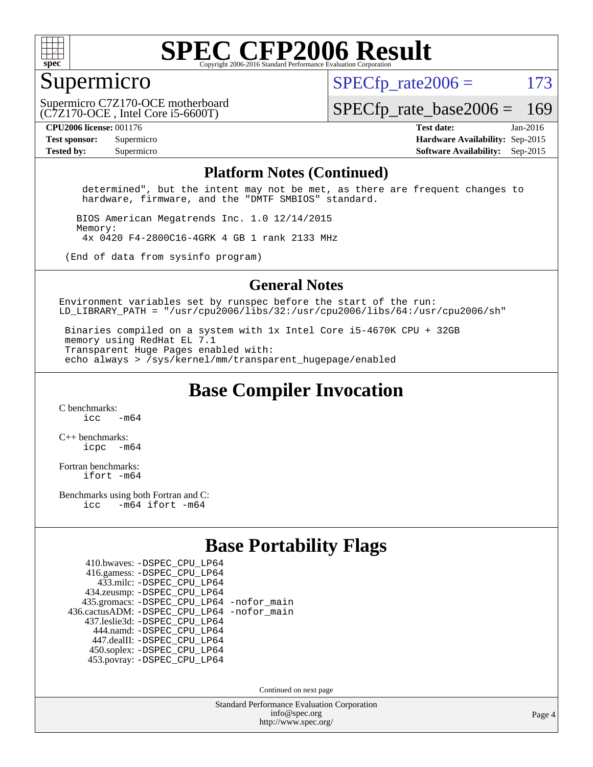

#### Supermicro

 $SPECTp\_rate2006 = 173$ 

(C7Z170-OCE , Intel Core i5-6600T) Supermicro C7Z170-OCE motherboard

[SPECfp\\_rate\\_base2006 =](http://www.spec.org/auto/cpu2006/Docs/result-fields.html#SPECfpratebase2006) 169

**[CPU2006 license:](http://www.spec.org/auto/cpu2006/Docs/result-fields.html#CPU2006license)** 001176 **[Test date:](http://www.spec.org/auto/cpu2006/Docs/result-fields.html#Testdate)** Jan-2016 **[Test sponsor:](http://www.spec.org/auto/cpu2006/Docs/result-fields.html#Testsponsor)** Supermicro **[Hardware Availability:](http://www.spec.org/auto/cpu2006/Docs/result-fields.html#HardwareAvailability)** Sep-2015 **[Tested by:](http://www.spec.org/auto/cpu2006/Docs/result-fields.html#Testedby)** Supermicro **Supermicro [Software Availability:](http://www.spec.org/auto/cpu2006/Docs/result-fields.html#SoftwareAvailability)** Sep-2015

#### **[Platform Notes \(Continued\)](http://www.spec.org/auto/cpu2006/Docs/result-fields.html#PlatformNotes)**

 determined", but the intent may not be met, as there are frequent changes to hardware, firmware, and the "DMTF SMBIOS" standard.

 BIOS American Megatrends Inc. 1.0 12/14/2015 Memory: 4x 0420 F4-2800C16-4GRK 4 GB 1 rank 2133 MHz

(End of data from sysinfo program)

#### **[General Notes](http://www.spec.org/auto/cpu2006/Docs/result-fields.html#GeneralNotes)**

Environment variables set by runspec before the start of the run: LD LIBRARY PATH = "/usr/cpu2006/libs/32:/usr/cpu2006/libs/64:/usr/cpu2006/sh"

 Binaries compiled on a system with 1x Intel Core i5-4670K CPU + 32GB memory using RedHat EL 7.1 Transparent Huge Pages enabled with: echo always > /sys/kernel/mm/transparent\_hugepage/enabled

**[Base Compiler Invocation](http://www.spec.org/auto/cpu2006/Docs/result-fields.html#BaseCompilerInvocation)**

[C benchmarks](http://www.spec.org/auto/cpu2006/Docs/result-fields.html#Cbenchmarks):  $\frac{1}{2}$  cc  $-$  m64

[C++ benchmarks:](http://www.spec.org/auto/cpu2006/Docs/result-fields.html#CXXbenchmarks) [icpc -m64](http://www.spec.org/cpu2006/results/res2016q1/cpu2006-20160111-38639.flags.html#user_CXXbase_intel_icpc_64bit_bedb90c1146cab66620883ef4f41a67e)

[Fortran benchmarks](http://www.spec.org/auto/cpu2006/Docs/result-fields.html#Fortranbenchmarks): [ifort -m64](http://www.spec.org/cpu2006/results/res2016q1/cpu2006-20160111-38639.flags.html#user_FCbase_intel_ifort_64bit_ee9d0fb25645d0210d97eb0527dcc06e)

[Benchmarks using both Fortran and C](http://www.spec.org/auto/cpu2006/Docs/result-fields.html#BenchmarksusingbothFortranandC): [icc -m64](http://www.spec.org/cpu2006/results/res2016q1/cpu2006-20160111-38639.flags.html#user_CC_FCbase_intel_icc_64bit_0b7121f5ab7cfabee23d88897260401c) [ifort -m64](http://www.spec.org/cpu2006/results/res2016q1/cpu2006-20160111-38639.flags.html#user_CC_FCbase_intel_ifort_64bit_ee9d0fb25645d0210d97eb0527dcc06e)

#### **[Base Portability Flags](http://www.spec.org/auto/cpu2006/Docs/result-fields.html#BasePortabilityFlags)**

| 410.bwaves: - DSPEC CPU LP64                 |  |
|----------------------------------------------|--|
| 416.gamess: -DSPEC_CPU_LP64                  |  |
| 433.milc: -DSPEC CPU LP64                    |  |
| 434.zeusmp: -DSPEC_CPU_LP64                  |  |
| 435.gromacs: -DSPEC_CPU_LP64 -nofor_main     |  |
| 436.cactusADM: - DSPEC CPU LP64 - nofor main |  |
| 437.leslie3d: -DSPEC_CPU_LP64                |  |
| 444.namd: - DSPEC CPU LP64                   |  |
| 447.dealII: -DSPEC CPU LP64                  |  |
| 450.soplex: -DSPEC_CPU_LP64                  |  |
| 453.povray: -DSPEC CPU LP64                  |  |

Continued on next page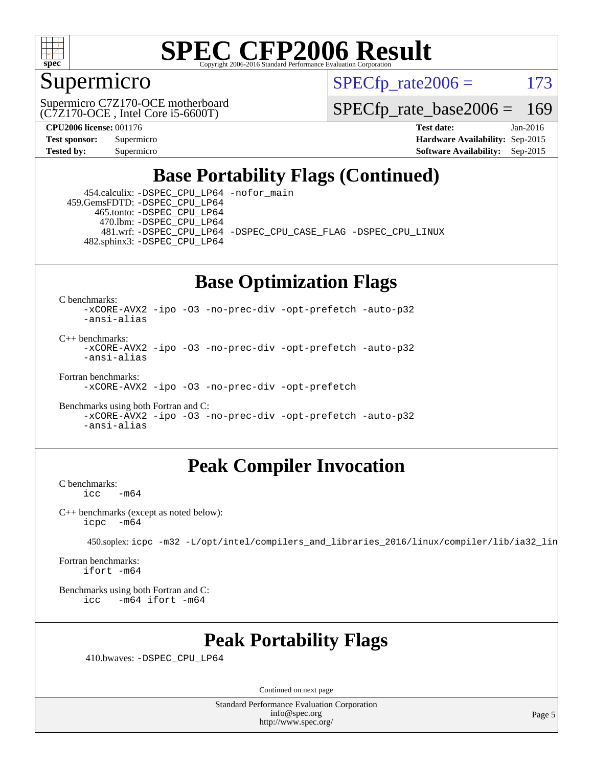

#### Supermicro

 $SPECTp\_rate2006 = 173$ 

(C7Z170-OCE , Intel Core i5-6600T) Supermicro C7Z170-OCE motherboard

[SPECfp\\_rate\\_base2006 =](http://www.spec.org/auto/cpu2006/Docs/result-fields.html#SPECfpratebase2006) 169

**[CPU2006 license:](http://www.spec.org/auto/cpu2006/Docs/result-fields.html#CPU2006license)** 001176 **[Test date:](http://www.spec.org/auto/cpu2006/Docs/result-fields.html#Testdate)** Jan-2016 **[Test sponsor:](http://www.spec.org/auto/cpu2006/Docs/result-fields.html#Testsponsor)** Supermicro **[Hardware Availability:](http://www.spec.org/auto/cpu2006/Docs/result-fields.html#HardwareAvailability)** Sep-2015 **[Tested by:](http://www.spec.org/auto/cpu2006/Docs/result-fields.html#Testedby)** Supermicro **Supermicro [Software Availability:](http://www.spec.org/auto/cpu2006/Docs/result-fields.html#SoftwareAvailability)** Sep-2015

## **[Base Portability Flags \(Continued\)](http://www.spec.org/auto/cpu2006/Docs/result-fields.html#BasePortabilityFlags)**

 454.calculix: [-DSPEC\\_CPU\\_LP64](http://www.spec.org/cpu2006/results/res2016q1/cpu2006-20160111-38639.flags.html#suite_basePORTABILITY454_calculix_DSPEC_CPU_LP64) [-nofor\\_main](http://www.spec.org/cpu2006/results/res2016q1/cpu2006-20160111-38639.flags.html#user_baseLDPORTABILITY454_calculix_f-nofor_main) 459.GemsFDTD: [-DSPEC\\_CPU\\_LP64](http://www.spec.org/cpu2006/results/res2016q1/cpu2006-20160111-38639.flags.html#suite_basePORTABILITY459_GemsFDTD_DSPEC_CPU_LP64) 465.tonto: [-DSPEC\\_CPU\\_LP64](http://www.spec.org/cpu2006/results/res2016q1/cpu2006-20160111-38639.flags.html#suite_basePORTABILITY465_tonto_DSPEC_CPU_LP64) 470.lbm: [-DSPEC\\_CPU\\_LP64](http://www.spec.org/cpu2006/results/res2016q1/cpu2006-20160111-38639.flags.html#suite_basePORTABILITY470_lbm_DSPEC_CPU_LP64) 481.wrf: [-DSPEC\\_CPU\\_LP64](http://www.spec.org/cpu2006/results/res2016q1/cpu2006-20160111-38639.flags.html#suite_basePORTABILITY481_wrf_DSPEC_CPU_LP64) [-DSPEC\\_CPU\\_CASE\\_FLAG](http://www.spec.org/cpu2006/results/res2016q1/cpu2006-20160111-38639.flags.html#b481.wrf_baseCPORTABILITY_DSPEC_CPU_CASE_FLAG) [-DSPEC\\_CPU\\_LINUX](http://www.spec.org/cpu2006/results/res2016q1/cpu2006-20160111-38639.flags.html#b481.wrf_baseCPORTABILITY_DSPEC_CPU_LINUX) 482.sphinx3: [-DSPEC\\_CPU\\_LP64](http://www.spec.org/cpu2006/results/res2016q1/cpu2006-20160111-38639.flags.html#suite_basePORTABILITY482_sphinx3_DSPEC_CPU_LP64)

## **[Base Optimization Flags](http://www.spec.org/auto/cpu2006/Docs/result-fields.html#BaseOptimizationFlags)**

[C benchmarks](http://www.spec.org/auto/cpu2006/Docs/result-fields.html#Cbenchmarks):

[-xCORE-AVX2](http://www.spec.org/cpu2006/results/res2016q1/cpu2006-20160111-38639.flags.html#user_CCbase_f-xAVX2_5f5fc0cbe2c9f62c816d3e45806c70d7) [-ipo](http://www.spec.org/cpu2006/results/res2016q1/cpu2006-20160111-38639.flags.html#user_CCbase_f-ipo) [-O3](http://www.spec.org/cpu2006/results/res2016q1/cpu2006-20160111-38639.flags.html#user_CCbase_f-O3) [-no-prec-div](http://www.spec.org/cpu2006/results/res2016q1/cpu2006-20160111-38639.flags.html#user_CCbase_f-no-prec-div) [-opt-prefetch](http://www.spec.org/cpu2006/results/res2016q1/cpu2006-20160111-38639.flags.html#user_CCbase_f-opt-prefetch) [-auto-p32](http://www.spec.org/cpu2006/results/res2016q1/cpu2006-20160111-38639.flags.html#user_CCbase_f-auto-p32) [-ansi-alias](http://www.spec.org/cpu2006/results/res2016q1/cpu2006-20160111-38639.flags.html#user_CCbase_f-ansi-alias)

 $C_{++}$  benchmarks: [-xCORE-AVX2](http://www.spec.org/cpu2006/results/res2016q1/cpu2006-20160111-38639.flags.html#user_CXXbase_f-xAVX2_5f5fc0cbe2c9f62c816d3e45806c70d7) [-ipo](http://www.spec.org/cpu2006/results/res2016q1/cpu2006-20160111-38639.flags.html#user_CXXbase_f-ipo) [-O3](http://www.spec.org/cpu2006/results/res2016q1/cpu2006-20160111-38639.flags.html#user_CXXbase_f-O3) [-no-prec-div](http://www.spec.org/cpu2006/results/res2016q1/cpu2006-20160111-38639.flags.html#user_CXXbase_f-no-prec-div) [-opt-prefetch](http://www.spec.org/cpu2006/results/res2016q1/cpu2006-20160111-38639.flags.html#user_CXXbase_f-opt-prefetch) [-auto-p32](http://www.spec.org/cpu2006/results/res2016q1/cpu2006-20160111-38639.flags.html#user_CXXbase_f-auto-p32) [-ansi-alias](http://www.spec.org/cpu2006/results/res2016q1/cpu2006-20160111-38639.flags.html#user_CXXbase_f-ansi-alias)

[Fortran benchmarks](http://www.spec.org/auto/cpu2006/Docs/result-fields.html#Fortranbenchmarks): [-xCORE-AVX2](http://www.spec.org/cpu2006/results/res2016q1/cpu2006-20160111-38639.flags.html#user_FCbase_f-xAVX2_5f5fc0cbe2c9f62c816d3e45806c70d7) [-ipo](http://www.spec.org/cpu2006/results/res2016q1/cpu2006-20160111-38639.flags.html#user_FCbase_f-ipo) [-O3](http://www.spec.org/cpu2006/results/res2016q1/cpu2006-20160111-38639.flags.html#user_FCbase_f-O3) [-no-prec-div](http://www.spec.org/cpu2006/results/res2016q1/cpu2006-20160111-38639.flags.html#user_FCbase_f-no-prec-div) [-opt-prefetch](http://www.spec.org/cpu2006/results/res2016q1/cpu2006-20160111-38639.flags.html#user_FCbase_f-opt-prefetch)

[Benchmarks using both Fortran and C](http://www.spec.org/auto/cpu2006/Docs/result-fields.html#BenchmarksusingbothFortranandC): [-xCORE-AVX2](http://www.spec.org/cpu2006/results/res2016q1/cpu2006-20160111-38639.flags.html#user_CC_FCbase_f-xAVX2_5f5fc0cbe2c9f62c816d3e45806c70d7) [-ipo](http://www.spec.org/cpu2006/results/res2016q1/cpu2006-20160111-38639.flags.html#user_CC_FCbase_f-ipo) [-O3](http://www.spec.org/cpu2006/results/res2016q1/cpu2006-20160111-38639.flags.html#user_CC_FCbase_f-O3) [-no-prec-div](http://www.spec.org/cpu2006/results/res2016q1/cpu2006-20160111-38639.flags.html#user_CC_FCbase_f-no-prec-div) [-opt-prefetch](http://www.spec.org/cpu2006/results/res2016q1/cpu2006-20160111-38639.flags.html#user_CC_FCbase_f-opt-prefetch) [-auto-p32](http://www.spec.org/cpu2006/results/res2016q1/cpu2006-20160111-38639.flags.html#user_CC_FCbase_f-auto-p32) [-ansi-alias](http://www.spec.org/cpu2006/results/res2016q1/cpu2006-20160111-38639.flags.html#user_CC_FCbase_f-ansi-alias)

### **[Peak Compiler Invocation](http://www.spec.org/auto/cpu2006/Docs/result-fields.html#PeakCompilerInvocation)**

[C benchmarks](http://www.spec.org/auto/cpu2006/Docs/result-fields.html#Cbenchmarks):  $-m64$ 

[C++ benchmarks \(except as noted below\):](http://www.spec.org/auto/cpu2006/Docs/result-fields.html#CXXbenchmarksexceptasnotedbelow) [icpc -m64](http://www.spec.org/cpu2006/results/res2016q1/cpu2006-20160111-38639.flags.html#user_CXXpeak_intel_icpc_64bit_bedb90c1146cab66620883ef4f41a67e)

450.soplex: [icpc -m32 -L/opt/intel/compilers\\_and\\_libraries\\_2016/linux/compiler/lib/ia32\\_lin](http://www.spec.org/cpu2006/results/res2016q1/cpu2006-20160111-38639.flags.html#user_peakCXXLD450_soplex_intel_icpc_b4f50a394bdb4597aa5879c16bc3f5c5)

[Fortran benchmarks](http://www.spec.org/auto/cpu2006/Docs/result-fields.html#Fortranbenchmarks): [ifort -m64](http://www.spec.org/cpu2006/results/res2016q1/cpu2006-20160111-38639.flags.html#user_FCpeak_intel_ifort_64bit_ee9d0fb25645d0210d97eb0527dcc06e)

[Benchmarks using both Fortran and C](http://www.spec.org/auto/cpu2006/Docs/result-fields.html#BenchmarksusingbothFortranandC): [icc -m64](http://www.spec.org/cpu2006/results/res2016q1/cpu2006-20160111-38639.flags.html#user_CC_FCpeak_intel_icc_64bit_0b7121f5ab7cfabee23d88897260401c) [ifort -m64](http://www.spec.org/cpu2006/results/res2016q1/cpu2006-20160111-38639.flags.html#user_CC_FCpeak_intel_ifort_64bit_ee9d0fb25645d0210d97eb0527dcc06e)

### **[Peak Portability Flags](http://www.spec.org/auto/cpu2006/Docs/result-fields.html#PeakPortabilityFlags)**

410.bwaves: [-DSPEC\\_CPU\\_LP64](http://www.spec.org/cpu2006/results/res2016q1/cpu2006-20160111-38639.flags.html#suite_peakPORTABILITY410_bwaves_DSPEC_CPU_LP64)

Continued on next page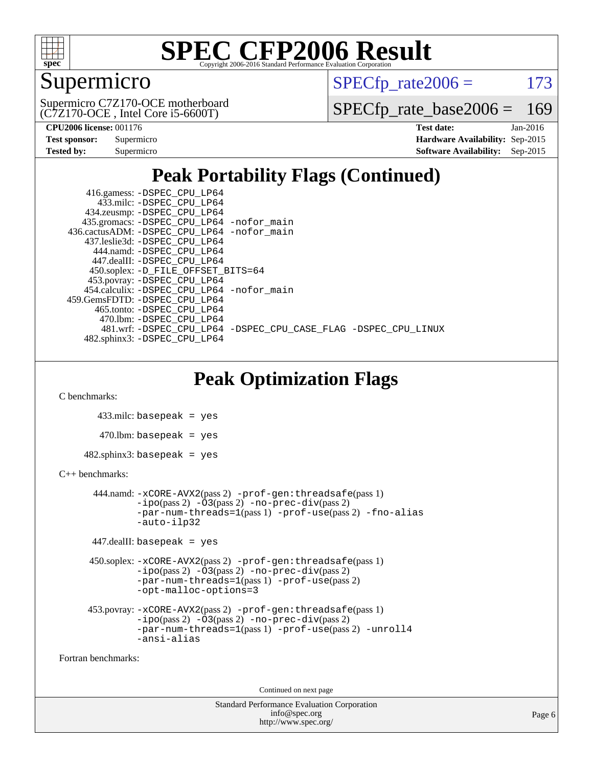

## Supermicro

 $SPECTp\_rate2006 = 173$ 

(C7Z170-OCE , Intel Core i5-6600T) Supermicro C7Z170-OCE motherboard

[SPECfp\\_rate\\_base2006 =](http://www.spec.org/auto/cpu2006/Docs/result-fields.html#SPECfpratebase2006) 169

| <b>Test sponsor:</b> | Supermicro |
|----------------------|------------|
| <b>Tested by:</b>    | Supermicro |

**[CPU2006 license:](http://www.spec.org/auto/cpu2006/Docs/result-fields.html#CPU2006license)** 001176 **[Test date:](http://www.spec.org/auto/cpu2006/Docs/result-fields.html#Testdate)** Jan-2016 **[Hardware Availability:](http://www.spec.org/auto/cpu2006/Docs/result-fields.html#HardwareAvailability)** Sep-2015 **[Software Availability:](http://www.spec.org/auto/cpu2006/Docs/result-fields.html#SoftwareAvailability)** Sep-2015

## **[Peak Portability Flags \(Continued\)](http://www.spec.org/auto/cpu2006/Docs/result-fields.html#PeakPortabilityFlags)**

 416.gamess: [-DSPEC\\_CPU\\_LP64](http://www.spec.org/cpu2006/results/res2016q1/cpu2006-20160111-38639.flags.html#suite_peakPORTABILITY416_gamess_DSPEC_CPU_LP64) 433.milc: [-DSPEC\\_CPU\\_LP64](http://www.spec.org/cpu2006/results/res2016q1/cpu2006-20160111-38639.flags.html#suite_peakPORTABILITY433_milc_DSPEC_CPU_LP64) 434.zeusmp: [-DSPEC\\_CPU\\_LP64](http://www.spec.org/cpu2006/results/res2016q1/cpu2006-20160111-38639.flags.html#suite_peakPORTABILITY434_zeusmp_DSPEC_CPU_LP64) 435.gromacs: [-DSPEC\\_CPU\\_LP64](http://www.spec.org/cpu2006/results/res2016q1/cpu2006-20160111-38639.flags.html#suite_peakPORTABILITY435_gromacs_DSPEC_CPU_LP64) [-nofor\\_main](http://www.spec.org/cpu2006/results/res2016q1/cpu2006-20160111-38639.flags.html#user_peakLDPORTABILITY435_gromacs_f-nofor_main) 436.cactusADM: [-DSPEC\\_CPU\\_LP64](http://www.spec.org/cpu2006/results/res2016q1/cpu2006-20160111-38639.flags.html#suite_peakPORTABILITY436_cactusADM_DSPEC_CPU_LP64) [-nofor\\_main](http://www.spec.org/cpu2006/results/res2016q1/cpu2006-20160111-38639.flags.html#user_peakLDPORTABILITY436_cactusADM_f-nofor_main) 437.leslie3d: [-DSPEC\\_CPU\\_LP64](http://www.spec.org/cpu2006/results/res2016q1/cpu2006-20160111-38639.flags.html#suite_peakPORTABILITY437_leslie3d_DSPEC_CPU_LP64) 444.namd: [-DSPEC\\_CPU\\_LP64](http://www.spec.org/cpu2006/results/res2016q1/cpu2006-20160111-38639.flags.html#suite_peakPORTABILITY444_namd_DSPEC_CPU_LP64) 447.dealII: [-DSPEC\\_CPU\\_LP64](http://www.spec.org/cpu2006/results/res2016q1/cpu2006-20160111-38639.flags.html#suite_peakPORTABILITY447_dealII_DSPEC_CPU_LP64) 450.soplex: [-D\\_FILE\\_OFFSET\\_BITS=64](http://www.spec.org/cpu2006/results/res2016q1/cpu2006-20160111-38639.flags.html#user_peakPORTABILITY450_soplex_file_offset_bits_64_438cf9856305ebd76870a2c6dc2689ab) 453.povray: [-DSPEC\\_CPU\\_LP64](http://www.spec.org/cpu2006/results/res2016q1/cpu2006-20160111-38639.flags.html#suite_peakPORTABILITY453_povray_DSPEC_CPU_LP64) 454.calculix: [-DSPEC\\_CPU\\_LP64](http://www.spec.org/cpu2006/results/res2016q1/cpu2006-20160111-38639.flags.html#suite_peakPORTABILITY454_calculix_DSPEC_CPU_LP64) [-nofor\\_main](http://www.spec.org/cpu2006/results/res2016q1/cpu2006-20160111-38639.flags.html#user_peakLDPORTABILITY454_calculix_f-nofor_main) 459.GemsFDTD: [-DSPEC\\_CPU\\_LP64](http://www.spec.org/cpu2006/results/res2016q1/cpu2006-20160111-38639.flags.html#suite_peakPORTABILITY459_GemsFDTD_DSPEC_CPU_LP64) 465.tonto: [-DSPEC\\_CPU\\_LP64](http://www.spec.org/cpu2006/results/res2016q1/cpu2006-20160111-38639.flags.html#suite_peakPORTABILITY465_tonto_DSPEC_CPU_LP64) 470.lbm: [-DSPEC\\_CPU\\_LP64](http://www.spec.org/cpu2006/results/res2016q1/cpu2006-20160111-38639.flags.html#suite_peakPORTABILITY470_lbm_DSPEC_CPU_LP64) 481.wrf: [-DSPEC\\_CPU\\_LP64](http://www.spec.org/cpu2006/results/res2016q1/cpu2006-20160111-38639.flags.html#suite_peakPORTABILITY481_wrf_DSPEC_CPU_LP64) [-DSPEC\\_CPU\\_CASE\\_FLAG](http://www.spec.org/cpu2006/results/res2016q1/cpu2006-20160111-38639.flags.html#b481.wrf_peakCPORTABILITY_DSPEC_CPU_CASE_FLAG) [-DSPEC\\_CPU\\_LINUX](http://www.spec.org/cpu2006/results/res2016q1/cpu2006-20160111-38639.flags.html#b481.wrf_peakCPORTABILITY_DSPEC_CPU_LINUX) 482.sphinx3: [-DSPEC\\_CPU\\_LP64](http://www.spec.org/cpu2006/results/res2016q1/cpu2006-20160111-38639.flags.html#suite_peakPORTABILITY482_sphinx3_DSPEC_CPU_LP64)

## **[Peak Optimization Flags](http://www.spec.org/auto/cpu2006/Docs/result-fields.html#PeakOptimizationFlags)**

[C benchmarks](http://www.spec.org/auto/cpu2006/Docs/result-fields.html#Cbenchmarks):

 433.milc: basepeak = yes  $470$ .lbm: basepeak = yes  $482$ .sphinx $3$ : basepeak = yes

#### [C++ benchmarks:](http://www.spec.org/auto/cpu2006/Docs/result-fields.html#CXXbenchmarks)

```
 444.namd: -xCORE-AVX2(pass 2) -prof-gen:threadsafe(pass 1)
       -no-prec-div(pass 2)-par-num-threads=1(pass 1) -prof-use(pass 2) -fno-alias
       -auto-ilp32
```

```
 447.dealII: basepeak = yes
```

```
 450.soplex: -xCORE-AVX2(pass 2) -prof-gen:threadsafe(pass 1)
          -i\text{po}(pass 2) -\overline{O}3(pass 2)-no-prec-div(pass 2)
          -par-num-threads=1(pass 1) -prof-use(pass 2)
          -opt-malloc-options=3
```

```
 453.povray: -xCORE-AVX2(pass 2) -prof-gen:threadsafe(pass 1)
          -i\text{po}(pass 2) -\tilde{O}3(pass 2)-no-prec-div(pass 2)
          -par-num-threads=1(pass 1) -prof-use(pass 2) -unroll4
          -ansi-alias
```
[Fortran benchmarks](http://www.spec.org/auto/cpu2006/Docs/result-fields.html#Fortranbenchmarks):

Continued on next page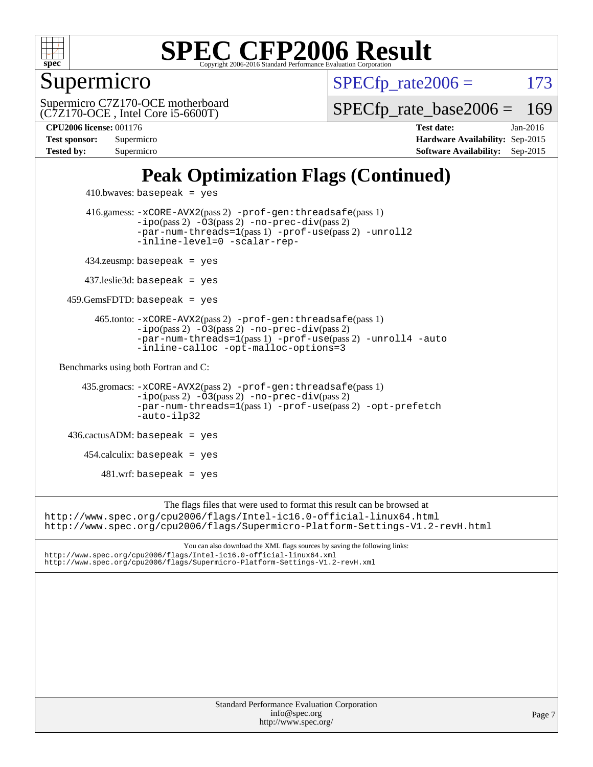

Supermicro

 $SPECTp\_rate2006 = 173$ 

(C7Z170-OCE , Intel Core i5-6600T) Supermicro C7Z170-OCE motherboard

[SPECfp\\_rate\\_base2006 =](http://www.spec.org/auto/cpu2006/Docs/result-fields.html#SPECfpratebase2006) 169

**[CPU2006 license:](http://www.spec.org/auto/cpu2006/Docs/result-fields.html#CPU2006license)** 001176 **[Test date:](http://www.spec.org/auto/cpu2006/Docs/result-fields.html#Testdate)** Jan-2016 **[Test sponsor:](http://www.spec.org/auto/cpu2006/Docs/result-fields.html#Testsponsor)** Supermicro **[Hardware Availability:](http://www.spec.org/auto/cpu2006/Docs/result-fields.html#HardwareAvailability)** Sep-2015 **[Tested by:](http://www.spec.org/auto/cpu2006/Docs/result-fields.html#Testedby)** Supermicro **Supermicro [Software Availability:](http://www.spec.org/auto/cpu2006/Docs/result-fields.html#SoftwareAvailability)** Sep-2015

## **[Peak Optimization Flags \(Continued\)](http://www.spec.org/auto/cpu2006/Docs/result-fields.html#PeakOptimizationFlags)**

```
410.bwaves: basepeak = yes 416.gamess: -xCORE-AVX2(pass 2) -prof-gen:threadsafe(pass 1)
                  -i\text{po}(pass 2) -03(pass 2)-no-prec-div(pass 2)
                  -par-num-threads=1(pass 1) -prof-use(pass 2) -unroll2
                  -inline-level=0 -scalar-rep-
         434.zeusmp: basepeak = yes
        437.leslie3d: basepeak = yes
     459.GemsFDTD: basepeak = yes
           465.tonto: -xCORE-AVX2(pass 2) -prof-gen:threadsafe(pass 1)
                  -no-prec-div(pass 2)-par-num-threads=1(pass 1) -prof-use(pass 2) -unroll4 -auto
                  -inline-calloc -opt-malloc-options=3
   Benchmarks using both Fortran and C: 
        435.gromacs: -xCORE-AVX2(pass 2) -prof-gen:threadsafe(pass 1)
                  -i\text{po}(pass 2) -03(pass 2)-no-prec-div(pass 2)
                  -par-num-threads=1(pass 1) -prof-use(pass 2) -opt-prefetch
                  -auto-ilp32
     436.cactusADM: basepeak = yes
       454.calculix: basepeak = yes
           481.wrf: basepeak = yes
                       The flags files that were used to format this result can be browsed at
http://www.spec.org/cpu2006/flags/Intel-ic16.0-official-linux64.html
http://www.spec.org/cpu2006/flags/Supermicro-Platform-Settings-V1.2-revH.html
```
You can also download the XML flags sources by saving the following links: <http://www.spec.org/cpu2006/flags/Intel-ic16.0-official-linux64.xml> <http://www.spec.org/cpu2006/flags/Supermicro-Platform-Settings-V1.2-revH.xml>